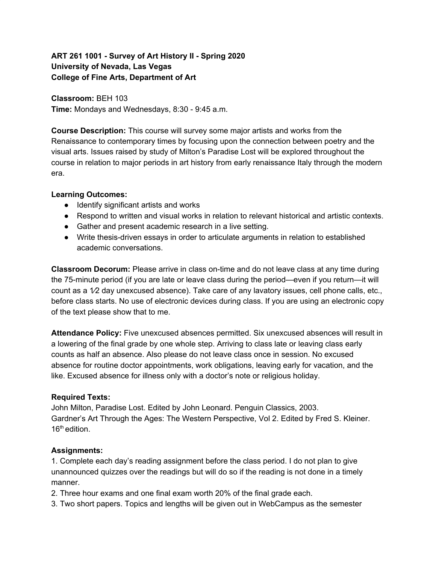## **ART 261 1001 - Survey of Art History II - Spring 2020 University of Nevada, Las Vegas College of Fine Arts, Department of Art**

**Classroom:** BEH 103 **Time:** Mondays and Wednesdays, 8:30 - 9:45 a.m.

**Course Description:** This course will survey some major artists and works from the Renaissance to contemporary times by focusing upon the connection between poetry and the visual arts. Issues raised by study of Milton's Paradise Lost will be explored throughout the course in relation to major periods in art history from early renaissance Italy through the modern era.

#### **Learning Outcomes:**

- Identify significant artists and works
- Respond to written and visual works in relation to relevant historical and artistic contexts.
- Gather and present academic research in a live setting.
- Write thesis-driven essays in order to articulate arguments in relation to established academic conversations.

**Classroom Decorum:** Please arrive in class on-time and do not leave class at any time during the 75-minute period (if you are late or leave class during the period—even if you return—it will count as a 1⁄2 day unexcused absence). Take care of any lavatory issues, cell phone calls, etc., before class starts. No use of electronic devices during class. If you are using an electronic copy of the text please show that to me.

**Attendance Policy:** Five unexcused absences permitted. Six unexcused absences will result in a lowering of the final grade by one whole step. Arriving to class late or leaving class early counts as half an absence. Also please do not leave class once in session. No excused absence for routine doctor appointments, work obligations, leaving early for vacation, and the like. Excused absence for illness only with a doctor's note or religious holiday.

## **Required Texts:**

John Milton, Paradise Lost. Edited by John Leonard. Penguin Classics, 2003. Gardner's Art Through the Ages: The Western Perspective, Vol 2. Edited by Fred S. Kleiner. 16<sup>th</sup> edition.

## **Assignments:**

1. Complete each day's reading assignment before the class period. I do not plan to give unannounced quizzes over the readings but will do so if the reading is not done in a timely manner.

- 2. Three hour exams and one final exam worth 20% of the final grade each.
- 3. Two short papers. Topics and lengths will be given out in WebCampus as the semester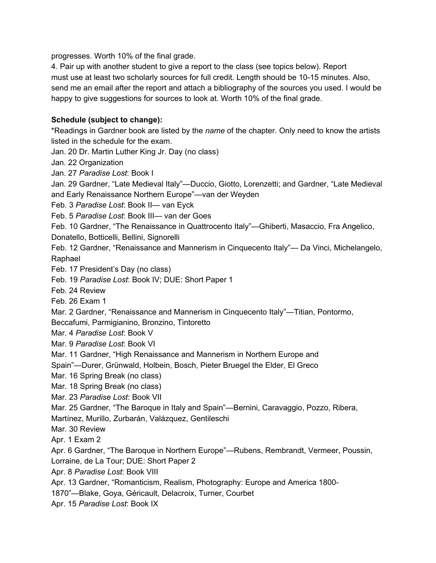progresses. Worth 10% of the final grade.

4. Pair up with another student to give a report to the class (see topics below). Report must use at least two scholarly sources for full credit. Length should be 10-15 minutes. Also, send me an email after the report and attach a bibliography of the sources you used. I would be happy to give suggestions for sources to look at. Worth 10% of the final grade.

## **Schedule (subject to change):**

\*Readings in Gardner book are listed by the *name* of the chapter. Only need to know the artists listed in the schedule for the exam.

Jan. 20 Dr. Martin Luther King Jr. Day (no class)

Jan. 22 Organization

Jan. 27 *Paradise Lost*: Book I

Jan. 29 Gardner, "Late Medieval Italy"—Duccio, Giotto, Lorenzetti; and Gardner, "Late Medieval and Early Renaissance Northern Europe"—van der Weyden

Feb. 3 *Paradise Lost*: Book II— van Eyck

Feb. 5 *Paradise Lost*: Book III— van der Goes

Feb. 10 Gardner, "The Renaissance in Quattrocento Italy"—Ghiberti, Masaccio, Fra Angelico,

Donatello, Botticelli, Bellini, Signorelli

Feb. 12 Gardner, "Renaissance and Mannerism in Cinquecento Italy"— Da Vinci, Michelangelo, Raphael

Feb. 17 President's Day (no class)

Feb. 19 *Paradise Lost*: Book IV; DUE: Short Paper 1

Feb. 24 Review

Feb. 26 Exam 1

Mar. 2 Gardner, "Renaissance and Mannerism in Cinquecento Italy"—Titian, Pontormo,

Beccafumi, Parmigianino, Bronzino, Tintoretto

Mar. 4 *Paradise Lost*: Book V

Mar. 9 *Paradise Lost*: Book VI

Mar. 11 Gardner, "High Renaissance and Mannerism in Northern Europe and

Spain"—Durer, Grünwald, Holbein, Bosch, Pieter Bruegel the Elder, El Greco

Mar. 16 Spring Break (no class)

Mar. 18 Spring Break (no class)

Mar. 23 *Paradise Lost*: Book VII

Mar. 25 Gardner, "The Baroque in Italy and Spain"—Bernini, Caravaggio, Pozzo, Ribera,

Martínez, Murillo, Zurbarán, Valázquez, Gentileschi

Mar. 30 Review

Apr. 1 Exam 2

Apr. 6 Gardner, "The Baroque in Northern Europe"—Rubens, Rembrandt, Vermeer, Poussin, Lorraine, de La Tour; DUE: Short Paper 2

Apr. 8 *Paradise Lost*: Book VIII

Apr. 13 Gardner, "Romanticism, Realism, Photography: Europe and America 1800-

1870"—Blake, Goya, Géricault, Delacroix, Turner, Courbet

Apr. 15 *Paradise Lost*: Book IX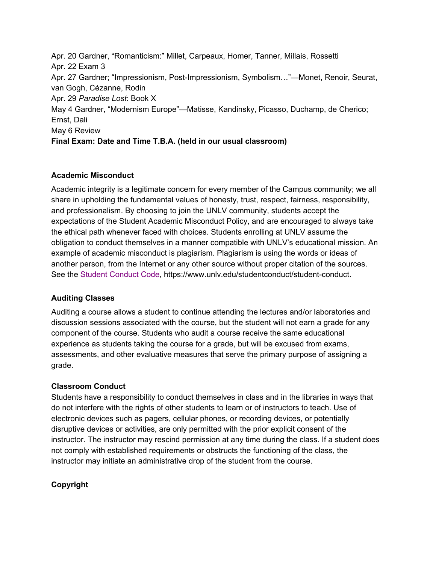Apr. 20 Gardner, "Romanticism:" Millet, Carpeaux, Homer, Tanner, Millais, Rossetti Apr. 22 Exam 3 Apr. 27 Gardner; "Impressionism, Post-Impressionism, Symbolism…"—Monet, Renoir, Seurat, van Gogh, Cézanne, Rodin Apr. 29 *Paradise Lost*: Book X May 4 Gardner, "Modernism Europe"—Matisse, Kandinsky, Picasso, Duchamp, de Cherico; Ernst, Dali May 6 Review **Final Exam: Date and Time T.B.A. (held in our usual classroom)**

## **Academic Misconduct**

Academic integrity is a legitimate concern for every member of the Campus community; we all share in upholding the fundamental values of honesty, trust, respect, fairness, responsibility, and professionalism. By choosing to join the UNLV community, students accept the expectations of the Student Academic Misconduct Policy, and are encouraged to always take the ethical path whenever faced with choices. Students enrolling at UNLV assume the obligation to conduct themselves in a manner compatible with UNLV's educational mission. An example of academic misconduct is plagiarism. Plagiarism is using the words or ideas of another person, from the Internet or any other source without proper citation of the sources. See the [S](https://www.unlv.edu/studentconduct/student-conduct)tudent [Conduct](https://www.unlv.edu/studentconduct/student-conduct) Code, https://www.unlv.edu/studentconduct/student-conduct.

## **Auditing Classes**

Auditing a course allows a student to continue attending the lectures and/or laboratories and discussion sessions associated with the course, but the student will not earn a grade for any component of the course. Students who audit a course receive the same educational experience as students taking the course for a grade, but will be excused from exams, assessments, and other evaluative measures that serve the primary purpose of assigning a grade.

# **Classroom Conduct**

Students have a responsibility to conduct themselves in class and in the libraries in ways that do not interfere with the rights of other students to learn or of instructors to teach. Use of electronic devices such as pagers, cellular phones, or recording devices, or potentially disruptive devices or activities, are only permitted with the prior explicit consent of the instructor. The instructor may rescind permission at any time during the class. If a student does not comply with established requirements or obstructs the functioning of the class, the instructor may initiate an administrative drop of the student from the course.

# **Copyright**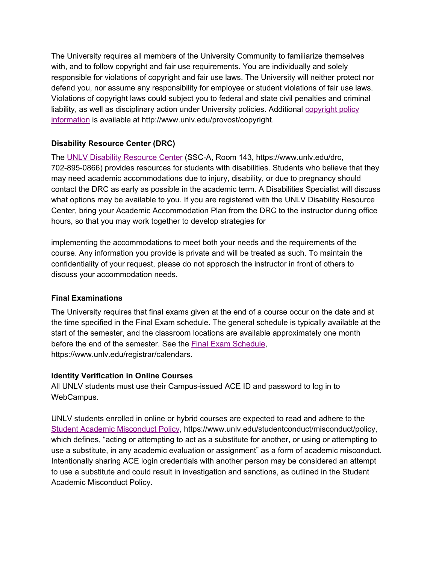The University requires all members of the University Community to familiarize themselves with, and to follow copyright and fair use requirements. You are individually and solely responsible for violations of copyright and fair use laws. The University will neither protect nor defend you, nor assume any responsibility for employee or student violations of fair use laws. Violations of copyright laws could subject you to federal and state civil penalties and criminal liability, as well as disciplinary action under University policies. Additional [copyright](http://www.unlv.edu/provost/copyright) policy [information](http://www.unlv.edu/provost/copyright) is available at http://www.unlv.edu/provost/copyright.

## **Disability Resource Center (DRC)**

The [U](http://drc.unlv.edu/)NLV Disability [Resource](http://drc.unlv.edu/) Center (SSC-A, Room 143, https://www.unlv.edu/drc, 702-895-0866) provides resources for students with disabilities. Students who believe that they may need academic accommodations due to injury, disability, or due to pregnancy should contact the DRC as early as possible in the academic term. A Disabilities Specialist will discuss what options may be available to you. If you are registered with the UNLV Disability Resource Center, bring your Academic Accommodation Plan from the DRC to the instructor during office hours, so that you may work together to develop strategies for

implementing the accommodations to meet both your needs and the requirements of the course. Any information you provide is private and will be treated as such. To maintain the confidentiality of your request, please do not approach the instructor in front of others to discuss your accommodation needs.

## **Final Examinations**

The University requires that final exams given at the end of a course occur on the date and at the time specified in the Final Exam schedule. The general schedule is typically available at the start of the semester, and the classroom locations are available approximately one month before the end of the semester. See the Final Exam [Schedule,](https://www.unlv.edu/registrar/calendars) https://www.unlv.edu/registrar/calendars.

## **Identity Verification in Online Courses**

All UNLV students must use their Campus-issued ACE ID and password to log in to WebCampus.

UNLV students enrolled in online or hybrid courses are expected to read and adhere to th[e](https://www.unlv.edu/studentconduct/misconduct/policy) Student Academic [Misconduct](https://www.unlv.edu/studentconduct/misconduct/policy) Policy, https://www.unlv.edu/studentconduct/misconduct/policy, which defines, "acting or attempting to act as a substitute for another, or using or attempting to use a substitute, in any academic evaluation or assignment" as a form of academic misconduct. Intentionally sharing ACE login credentials with another person may be considered an attempt to use a substitute and could result in investigation and sanctions, as outlined in the Student Academic Misconduct Policy.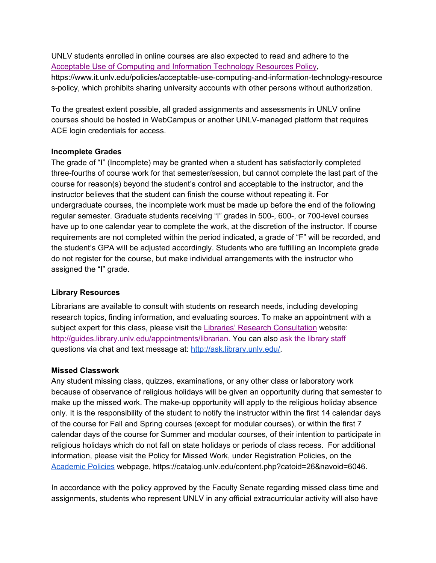UNLV students enrolled in online courses are also expected to read and adhere to the Acceptable Use of Computing and Information [Technology](https://www.it.unlv.edu/policies/acceptable-use-computing-and-information-technology-resources-policy) Resources Policy, https://www.it.unlv.edu/policies/acceptable-use-computing-and-information-technology-resource s-policy, which prohibits sharing university accounts with other persons without authorization.

To the greatest extent possible, all graded assignments and assessments in UNLV online courses should be hosted in WebCampus or another UNLV-managed platform that requires ACE login credentials for access.

#### **Incomplete Grades**

The grade of "I" (Incomplete) may be granted when a student has satisfactorily completed three-fourths of course work for that semester/session, but cannot complete the last part of the course for reason(s) beyond the student's control and acceptable to the instructor, and the instructor believes that the student can finish the course without repeating it. For undergraduate courses, the incomplete work must be made up before the end of the following regular semester. Graduate students receiving "I" grades in 500-, 600-, or 700-level courses have up to one calendar year to complete the work, at the discretion of the instructor. If course requirements are not completed within the period indicated, a grade of "F" will be recorded, and the student's GPA will be adjusted accordingly. Students who are fulfilling an Incomplete grade do not register for the course, but make individual arrangements with the instructor who assigned the "I" grade.

## **Library Resources**

Librarians are available to consult with students on research needs, including developing research topics, finding information, and evaluating sources. To make an appointment with a subject expert for this class, please visit the Libraries' Research [Consultation](http://guides.library.unlv.edu/appointments/librarian) website: [http://guides.library.unlv.edu/appointments/librarian.](http://guides.library.unlv.edu/appointments/librarian) You can also [a](http://ask.library.unlv.edu/)sk the [library](http://ask.library.unlv.edu/) staff questions via chat and text message at: [http://ask.library.unlv.edu/.](http://ask.library.unlv.edu/)

#### **Missed Classwork**

Any student missing class, quizzes, examinations, or any other class or laboratory work because of observance of religious holidays will be given an opportunity during that semester to make up the missed work. The make-up opportunity will apply to the religious holiday absence only. It is the responsibility of the student to notify the instructor within the first 14 calendar days of the course for Fall and Spring courses (except for modular courses), or within the first 7 calendar days of the course for Summer and modular courses, of their intention to participate in religious holidays which do not fall on state holidays or periods of class recess. For additional information, please visit the Policy for Missed Work, under Registration Policies, on the [Academic](https://catalog.unlv.edu/content.php?catoid=26&navoid=6046) Policies webpage, https://catalog.unlv.edu/content.php?catoid=26&navoid=6046.

In accordance with the policy approved by the Faculty Senate regarding missed class time and assignments, students who represent UNLV in any official extracurricular activity will also have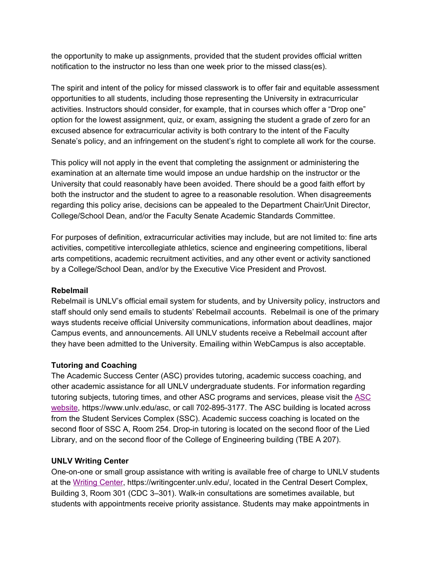the opportunity to make up assignments, provided that the student provides official written notification to the instructor no less than one week prior to the missed class(es).

The spirit and intent of the policy for missed classwork is to offer fair and equitable assessment opportunities to all students, including those representing the University in extracurricular activities. Instructors should consider, for example, that in courses which offer a "Drop one" option for the lowest assignment, quiz, or exam, assigning the student a grade of zero for an excused absence for extracurricular activity is both contrary to the intent of the Faculty Senate's policy, and an infringement on the student's right to complete all work for the course.

This policy will not apply in the event that completing the assignment or administering the examination at an alternate time would impose an undue hardship on the instructor or the University that could reasonably have been avoided. There should be a good faith effort by both the instructor and the student to agree to a reasonable resolution. When disagreements regarding this policy arise, decisions can be appealed to the Department Chair/Unit Director, College/School Dean, and/or the Faculty Senate Academic Standards Committee.

For purposes of definition, extracurricular activities may include, but are not limited to: fine arts activities, competitive intercollegiate athletics, science and engineering competitions, liberal arts competitions, academic recruitment activities, and any other event or activity sanctioned by a College/School Dean, and/or by the Executive Vice President and Provost.

#### **Rebelmail**

Rebelmail is UNLV's official email system for students, and by University policy, instructors and staff should only send emails to students' Rebelmail accounts. Rebelmail is one of the primary ways students receive official University communications, information about deadlines, major Campus events, and announcements. All UNLV students receive a Rebelmail account after they have been admitted to the University. Emailing within WebCampus is also acceptable.

## **Tutoring and Coaching**

The Academic Success Center (ASC) provides tutoring, academic success coaching, and other academic assistance for all UNLV undergraduate students. For information regarding tutoring subjects, tutoring times, and other ASC programs and services, please visit the [ASC](https://www.unlv.edu/asc) [website,](https://www.unlv.edu/asc) https://www.unlv.edu/asc, or call 702-895-3177. The ASC building is located across from the Student Services Complex (SSC). Academic success coaching is located on the second floor of SSC A, Room 254. Drop-in tutoring is located on the second floor of the Lied Library, and on the second floor of the College of Engineering building (TBE A 207).

## **UNLV Writing Center**

One-on-one or small group assistance with writing is available free of charge to UNLV students at the [Writing](https://writingcenter.unlv.edu/) Center, https://writingcenter.unlv.edu/, located in the Central Desert Complex, Building 3, Room 301 (CDC 3–301). Walk-in consultations are sometimes available, but students with appointments receive priority assistance. Students may make appointments in